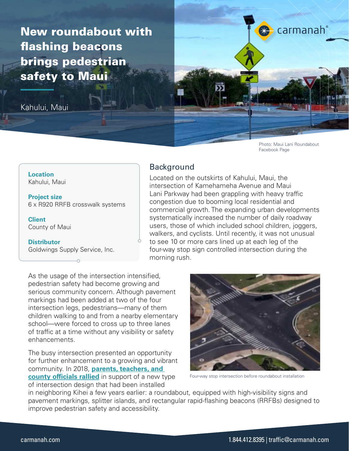New roundabout with flashing beacons brings pedestrian safety to Maui

Kahului, Maui



Photo: Maui Lani Roundabout Facebook Page

**Location** Kahului, Maui

**Project size** 6 x R920 RRFB crosswalk systems

**Client** County of Maui

**Distributor** Goldwings Supply Service, Inc.

# Background

Located on the outskirts of Kahului, Maui, the intersection of Kamehameha Avenue and Maui Lani Parkway had been grappling with heavy traffic congestion due to booming local residential and commercial growth. The expanding urban developments systematically increased the number of daily roadway users, those of which included school children, joggers, walkers, and cyclists. Until recently, it was not unusual to see 10 or more cars lined up at each leg of the four-way stop sign controlled intersection during the morning rush.

As the usage of the intersection intensified, pedestrian safety had become growing and serious community concern. Although pavement markings had been added at two of the four intersection legs, pedestrians—many of them children walking to and from a nearby elementary school—were forced to cross up to three lanes of traffic at a time without any visibility or safety enhancements.

The busy intersection presented an opportunity for further enhancement to a growing and vibrant community. In 2018, **[parents, teachers, and](https://www.mauimpo.org/sites/mauimpo.org/files/document/pdf/Kahului%20roundabout%20pros%20and%20cons%20weighed%20_%20News%2C%20Sports%2C%20Jobs%20-%20Maui%20News.pdf)  [county officials rallied](https://www.mauimpo.org/sites/mauimpo.org/files/document/pdf/Kahului%20roundabout%20pros%20and%20cons%20weighed%20_%20News%2C%20Sports%2C%20Jobs%20-%20Maui%20News.pdf)** in support of a new type of intersection design that had been installed



Four-way stop intersection before roundabout installation

in neighboring Kihei a few years earlier: a roundabout, equipped with high-visibility signs and pavement markings, splitter islands, and rectangular rapid-flashing beacons (RRFBs) designed to improve pedestrian safety and accessibility.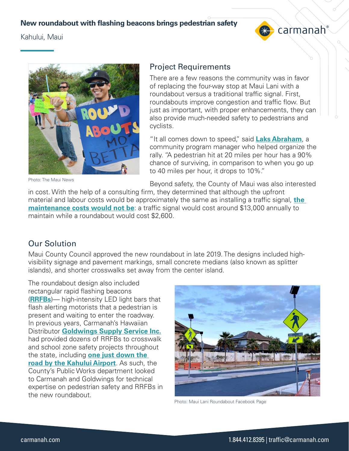#### **New roundabout with flashing beacons brings pedestrian safety**

Kahului, Maui





Photo: The Maui News

#### Project Requirements

There are a few reasons the community was in favor of replacing the four-way stop at Maui Lani with a roundabout versus a traditional traffic signal. First, roundabouts improve congestion and traffic flow. But just as important, with proper enhancements, they can also provide much-needed safety to pedestrians and cyclists.

"It all comes down to speed," said **[Laks Abraham](https://mauitime.com/news/community-members-show-support-for-maui-lani-roundabout/)**, a community program manager who helped organize the rally. "A pedestrian hit at 20 miles per hour has a 90% chance of surviving, in comparison to when you go up to 40 miles per hour, it drops to 10%."

Beyond safety, the County of Maui was also interested

in cost. With the help of a consulting firm, they determined that although the upfront material and labour costs would be approximately the same as installing a traffic signal, **[the](https://www.mauimpo.org/sites/mauimpo.org/files/document/pdf/Kahului roundabout pros and cons weighed _ News%2C Sports%2C Jobs - Maui News.pdf)  [maintenance costs would not be](https://www.mauimpo.org/sites/mauimpo.org/files/document/pdf/Kahului roundabout pros and cons weighed _ News%2C Sports%2C Jobs - Maui News.pdf)**: a traffic signal would cost around \$13,000 annually to maintain while a roundabout would cost \$2,600.

# Our Solution

Maui County Council approved the new roundabout in late 2019. The designs included highvisibility signage and pavement markings, small concrete medians (also known as splitter islands), and shorter crosswalks set away from the center island.

The roundabout design also included rectangular rapid flashing beacons (**[RRFBs](https://carmanah.com/product-category/rrfb-rectangular-rapid-flashing-beacons/)**)— high-intensity LED light bars that flash alerting motorists that a pedestrian is present and waiting to enter the roadway. In previous years, Carmanah's Hawaiian Distributor **[Goldwings Supply Service Inc.](http://goldwings-supply.com/)** had provided dozens of RRFBs to crosswalk and school zone safety projects throughout the state, including **[one just down the](https://www.facebook.com/honolulucompletestreets/photos/the-first-thing-you-see-when-leaving-kahului-airport-is-a-rrfb-rectangular-rapid/1953594721524688/)  [road by the Kahului Airport](https://www.facebook.com/honolulucompletestreets/photos/the-first-thing-you-see-when-leaving-kahului-airport-is-a-rrfb-rectangular-rapid/1953594721524688/)**. As such, the County's Public Works department looked to Carmanah and Goldwings for technical expertise on pedestrian safety and RRFBs in the new roundabout.



Photo: Maui Lani Roundabout Facebook Page